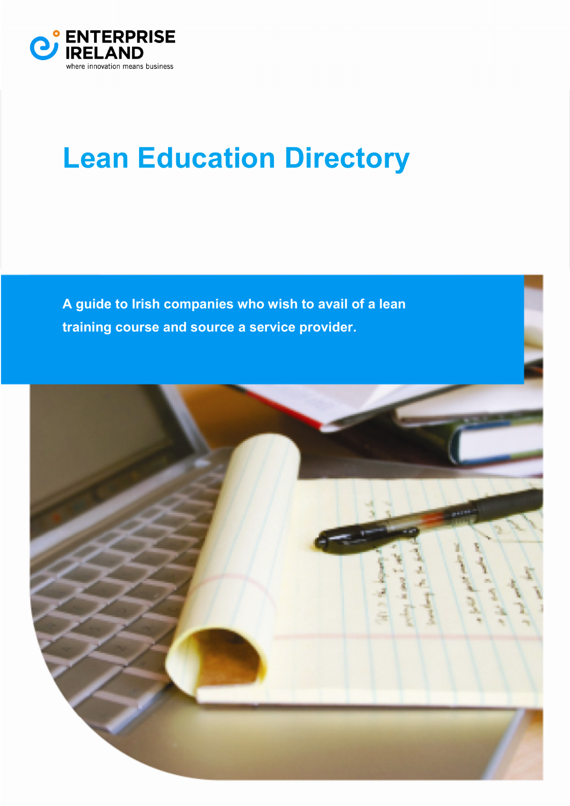

# **Lean Education Directory**

**A guide to Irish companies who wish to avail of a lean training course and source a service provider.** 

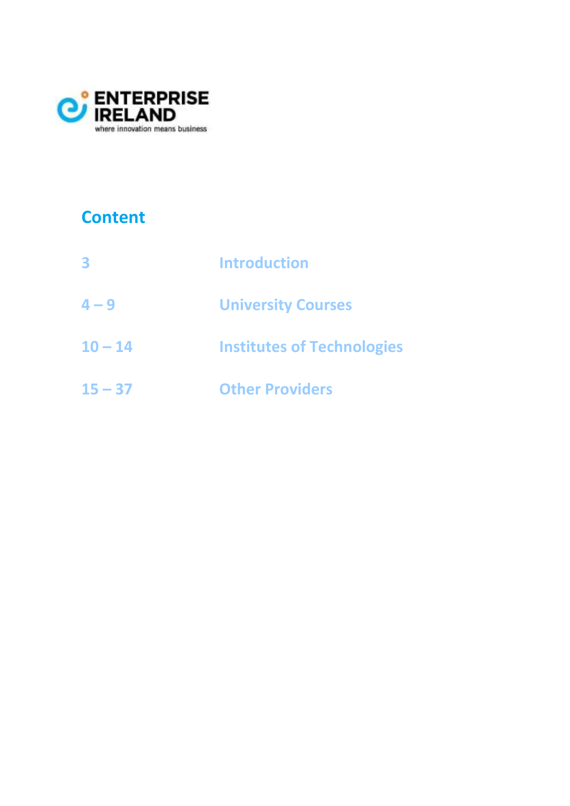

## **Content**

| 3         | <b>Introduction</b>               |
|-----------|-----------------------------------|
| $4 - 9$   | <b>University Courses</b>         |
| $10 - 14$ | <b>Institutes of Technologies</b> |
| $15 - 37$ | <b>Other Providers</b>            |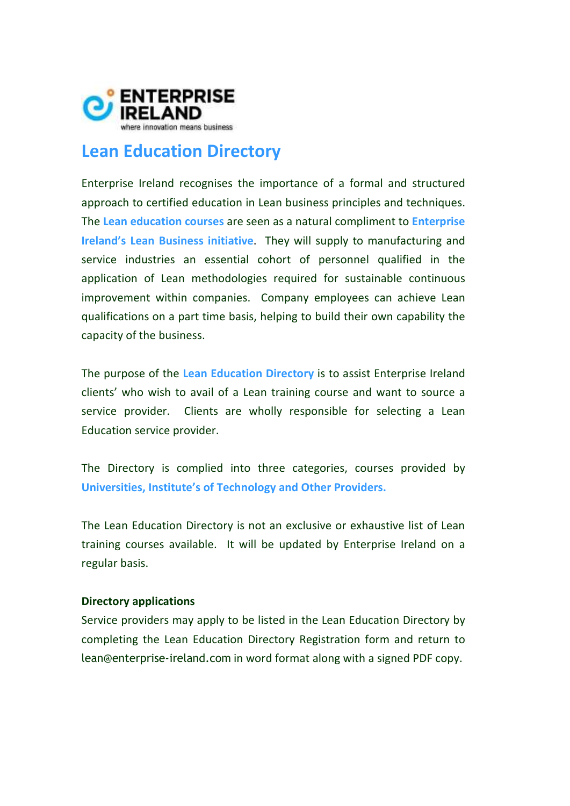

## **Lean Education Directory**

Enterprise Ireland recognises the importance of a formal and structured approach to certified education in Lean business principles and techniques. The **Lean education courses** are seen as a natural compliment to **Enterprise Ireland's Lean Business initiative**. They will supply to manufacturing and service industries an essential cohort of personnel qualified in the application of Lean methodologies required for sustainable continuous improvement within companies. Company employees can achieve Lean qualifications on a part time basis, helping to build their own capability the capacity of the business.

The purpose of the **Lean Education Directory** is to assist Enterprise Ireland clients' who wish to avail of a Lean training course and want to source a service provider. Clients are wholly responsible for selecting a Lean Education service provider.

The Directory is complied into three categories, courses provided by **Universities, Institute's of Technology and Other Providers.**

The Lean Education Directory is not an exclusive or exhaustive list of Lean training courses available. It will be updated by Enterprise Ireland on a regular basis.

#### **Directory applications**

Service providers may apply to be listed in the Lean Education Directory by completing the Lean Education Directory Registration form and return to lean@enterprise-ireland.com in word format along with a signed PDF copy.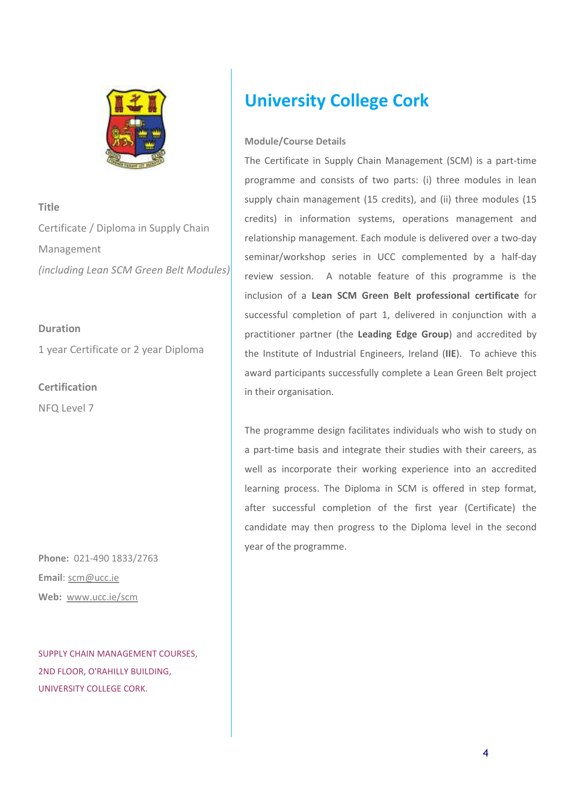

**Title**  Certificate / Diploma in Supply Chain Management *(including Lean SCM Green Belt Modules)*

#### **Duration**

1 year Certificate or 2 year Diploma

**Certification**  NFQ Level 7

**Phone:** 021-490 1833/2763 **Email**: scm@ucc.ie **Web:** www.ucc.ie/scm

SUPPLY CHAIN MANAGEMENT COURSES, 2ND FLOOR, O'RAHILLY BUILDING, UNIVERSITY COLLEGE CORK.

## **University College Cork**

#### **Module/Course Details**

The Certificate in Supply Chain Management (SCM) is a part-time programme and consists of two parts: (i) three modules in lean supply chain management (15 credits), and (ii) three modules (15 credits) in information systems, operations management and relationship management. Each module is delivered over a two-day seminar/workshop series in UCC complemented by a half-day review session. A notable feature of this programme is the inclusion of a **Lean SCM Green Belt professional certificate** for successful completion of part 1, delivered in conjunction with a practitioner partner (the **Leading Edge Group**) and accredited by the Institute of Industrial Engineers, Ireland (**IIE**). To achieve this award participants successfully complete a Lean Green Belt project in their organisation.

The programme design facilitates individuals who wish to study on a part-time basis and integrate their studies with their careers, as well as incorporate their working experience into an accredited learning process. The Diploma in SCM is offered in step format, after successful completion of the first year (Certificate) the candidate may then progress to the Diploma level in the second year of the programme.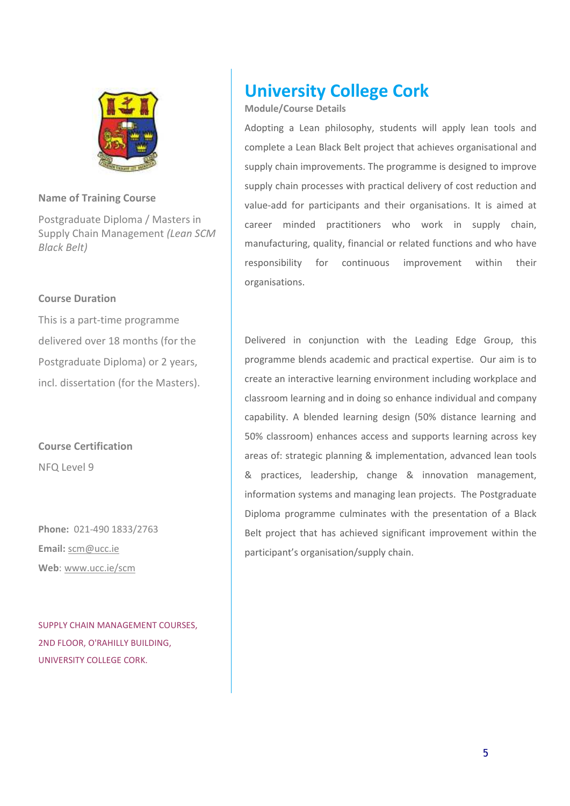

Postgraduate Diploma / Masters in Supply Chain Management *(Lean SCM Black Belt)*

#### **Course Duration**

This is a part-time programme delivered over 18 months (for the Postgraduate Diploma) or 2 years, incl. dissertation (for the Masters).

**Course Certification**  NFQ Level 9

**Phone:** 021-490 1833/2763 **Email:** scm@ucc.ie **Web**: www.ucc.ie/scm

SUPPLY CHAIN MANAGEMENT COURSES, 2ND FLOOR, O'RAHILLY BUILDING, UNIVERSITY COLLEGE CORK.

## **University College Cork**

#### **Module/Course Details**

Adopting a Lean philosophy, students will apply lean tools and complete a Lean Black Belt project that achieves organisational and supply chain improvements. The programme is designed to improve supply chain processes with practical delivery of cost reduction and value-add for participants and their organisations. It is aimed at career minded practitioners who work in supply chain, manufacturing, quality, financial or related functions and who have responsibility for continuous improvement within their organisations.

Delivered in conjunction with the Leading Edge Group, this programme blends academic and practical expertise. Our aim is to create an interactive learning environment including workplace and classroom learning and in doing so enhance individual and company capability. A blended learning design (50% distance learning and 50% classroom) enhances access and supports learning across key areas of: strategic planning & implementation, advanced lean tools & practices, leadership, change & innovation management, information systems and managing lean projects. The Postgraduate Diploma programme culminates with the presentation of a Black Belt project that has achieved significant improvement within the participant's organisation/supply chain.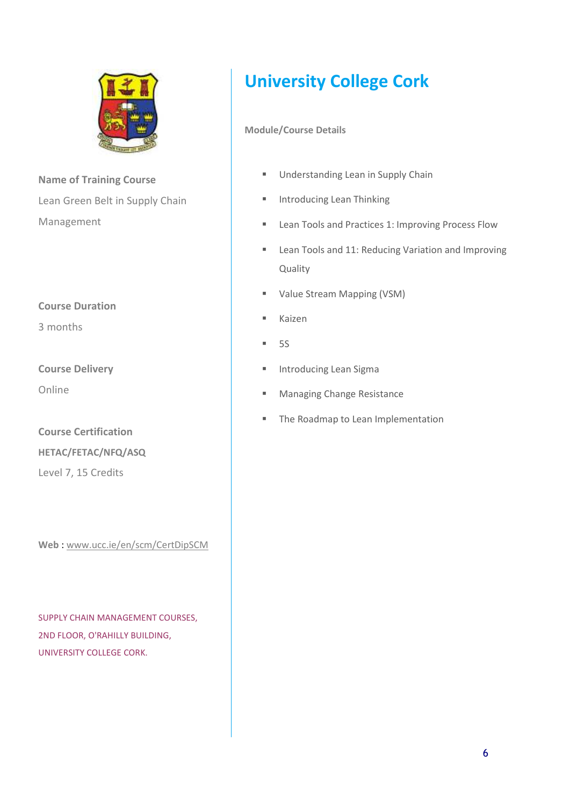

**Name of Training Course**  Lean Green Belt in Supply Chain Management

#### **Course Duration**

3 months

**Course Delivery** 

Online

**Course Certification HETAC/FETAC/NFQ/ASQ**  Level 7, 15 Credits

**Web** : www.ucc.ie/en/scm/CertDipSCM

SUPPLY CHAIN MANAGEMENT COURSES, 2ND FLOOR, O'RAHILLY BUILDING, UNIVERSITY COLLEGE CORK.

# **University College Cork**

- **Understanding Lean in Supply Chain**
- **Introducing Lean Thinking**
- **Lean Tools and Practices 1: Improving Process Flow**
- **EXECT:** Lean Tools and 11: Reducing Variation and Improving Quality
- Value Stream Mapping (VSM)
- **Kaizen**
- $-5S$
- **Introducing Lean Sigma**
- **Managing Change Resistance**
- **The Roadmap to Lean Implementation**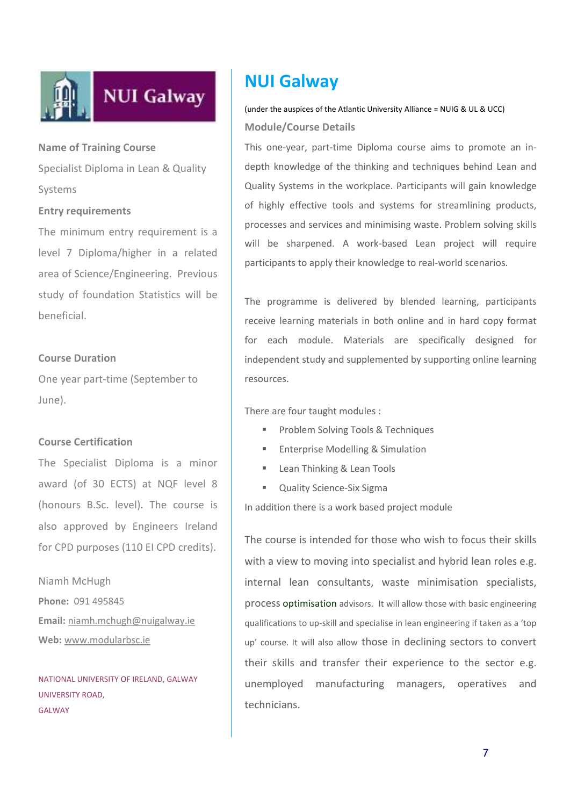

Specialist Diploma in Lean & Quality Systems

#### **Entry requirements**

The minimum entry requirement is a level 7 Diploma/higher in a related area of Science/Engineering. Previous study of foundation Statistics will be beneficial.

#### **Course Duration**

One year part-time (September to June).

#### **Course Certification**

The Specialist Diploma is a minor award (of 30 ECTS) at NQF level 8 (honours B.Sc. level). The course is also approved by Engineers Ireland for CPD purposes (110 EI CPD credits).

Niamh McHugh **Phone:** 091 495845 **Email:** niamh.mchugh@nuigalway.ie **Web:** www.modularbsc.ie

NATIONAL UNIVERSITY OF IRELAND, GALWAY UNIVERSITY ROAD, GALWAY

## **NUI Galway**

(under the auspices of the Atlantic University Alliance = NUIG & UL & UCC) **Module/Course Details**

This one-year, part-time Diploma course aims to promote an indepth knowledge of the thinking and techniques behind Lean and Quality Systems in the workplace. Participants will gain knowledge of highly effective tools and systems for streamlining products, processes and services and minimising waste. Problem solving skills will be sharpened. A work-based Lean project will require participants to apply their knowledge to real-world scenarios.

The programme is delivered by blended learning, participants receive learning materials in both online and in hard copy format for each module. Materials are specifically designed for independent study and supplemented by supporting online learning resources.

There are four taught modules :

- **Problem Solving Tools & Techniques**
- Enterprise Modelling & Simulation
- **Lean Thinking & Lean Tools**
- **Quality Science-Six Sigma**

In addition there is a work based project module

The course is intended for those who wish to focus their skills with a view to moving into specialist and hybrid lean roles e.g. internal lean consultants, waste minimisation specialists, process optimisation advisors. It will allow those with basic engineering qualifications to up-skill and specialise in lean engineering if taken as a 'top up' course. It will also allow those in declining sectors to convert their skills and transfer their experience to the sector e.g. unemployed manufacturing managers, operatives and technicians.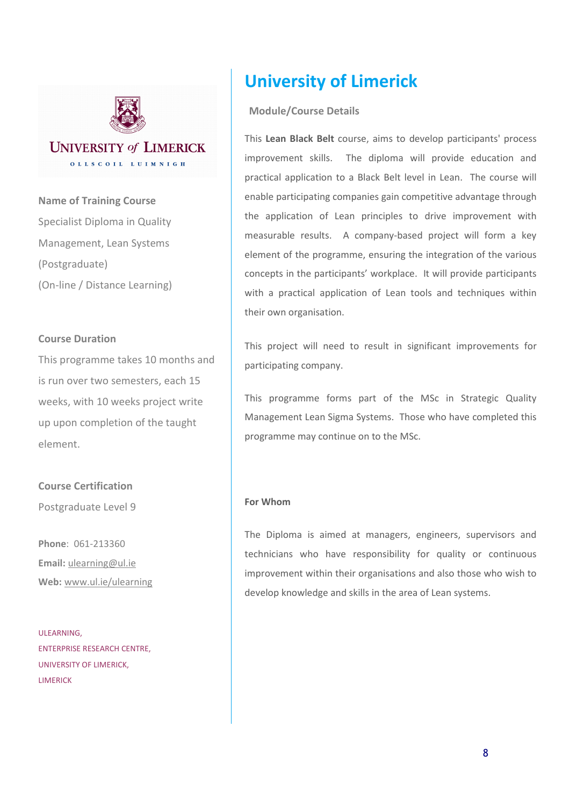

**Name of Training Course**  Specialist Diploma in Quality Management, Lean Systems (Postgraduate) (On-line / Distance Learning)

#### **Course Duration**

This programme takes 10 months and is run over two semesters, each 15 weeks, with 10 weeks project write up upon completion of the taught element.

**Course Certification**  Postgraduate Level 9

**Phone**: 061-213360 **Email:** ulearning@ul.ie **Web:** www.ul.ie/ulearning

ULEARNING, ENTERPRISE RESEARCH CENTRE, UNIVERSITY OF LIMERICK, LIMERICK

## **University of Limerick**

#### **Module/Course Details**

This **Lean Black Belt** course, aims to develop participants' process improvement skills. The diploma will provide education and practical application to a Black Belt level in Lean. The course will enable participating companies gain competitive advantage through the application of Lean principles to drive improvement with measurable results. A company-based project will form a key element of the programme, ensuring the integration of the various concepts in the participants' workplace. It will provide participants with a practical application of Lean tools and techniques within their own organisation.

This project will need to result in significant improvements for participating company.

This programme forms part of the MSc in Strategic Quality Management Lean Sigma Systems. Those who have completed this programme may continue on to the MSc.

#### **For Whom**

The Diploma is aimed at managers, engineers, supervisors and technicians who have responsibility for quality or continuous improvement within their organisations and also those who wish to develop knowledge and skills in the area of Lean systems.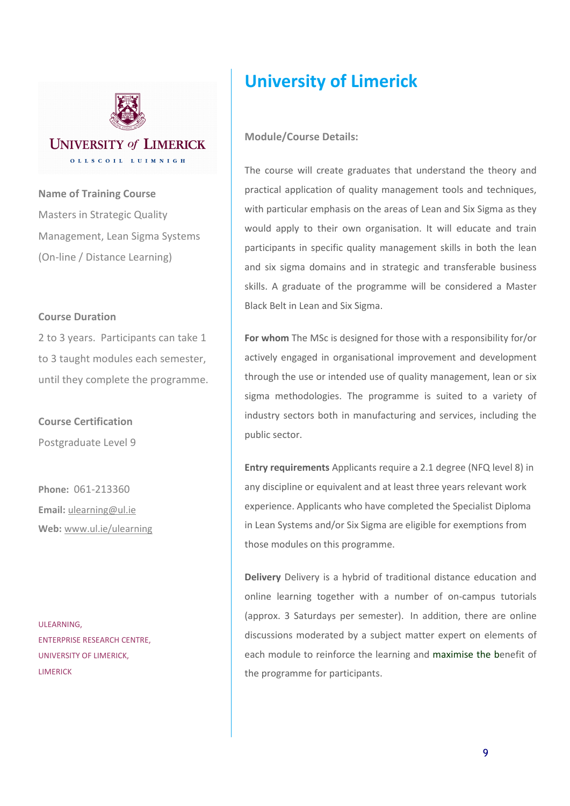

#### **UNIVERSITY of LIMERICK** OLLSCOIL LUIMNIGH

**Name of Training Course**  Masters in Strategic Quality Management, Lean Sigma Systems (On-line / Distance Learning)

#### **Course Duration**

2 to 3 years. Participants can take 1 to 3 taught modules each semester, until they complete the programme.

**Course Certification**  Postgraduate Level 9

**Phone:** 061-213360 **Email:** ulearning@ul.ie **Web:** www.ul.ie/ulearning

ULEARNING, ENTERPRISE RESEARCH CENTRE, UNIVERSITY OF LIMERICK, LIMERICK

## **University of Limerick**

#### **Module/Course Details:**

The course will create graduates that understand the theory and practical application of quality management tools and techniques, with particular emphasis on the areas of Lean and Six Sigma as they would apply to their own organisation. It will educate and train participants in specific quality management skills in both the lean and six sigma domains and in strategic and transferable business skills. A graduate of the programme will be considered a Master Black Belt in Lean and Six Sigma.

**For whom** The MSc is designed for those with a responsibility for/or actively engaged in organisational improvement and development through the use or intended use of quality management, lean or six sigma methodologies. The programme is suited to a variety of industry sectors both in manufacturing and services, including the public sector.

**Entry requirements** Applicants require a 2.1 degree (NFQ level 8) in any discipline or equivalent and at least three years relevant work experience. Applicants who have completed the Specialist Diploma in Lean Systems and/or Six Sigma are eligible for exemptions from those modules on this programme.

**Delivery** Delivery is a hybrid of traditional distance education and online learning together with a number of on-campus tutorials (approx. 3 Saturdays per semester). In addition, there are online discussions moderated by a subject matter expert on elements of each module to reinforce the learning and maximise the benefit of the programme for participants.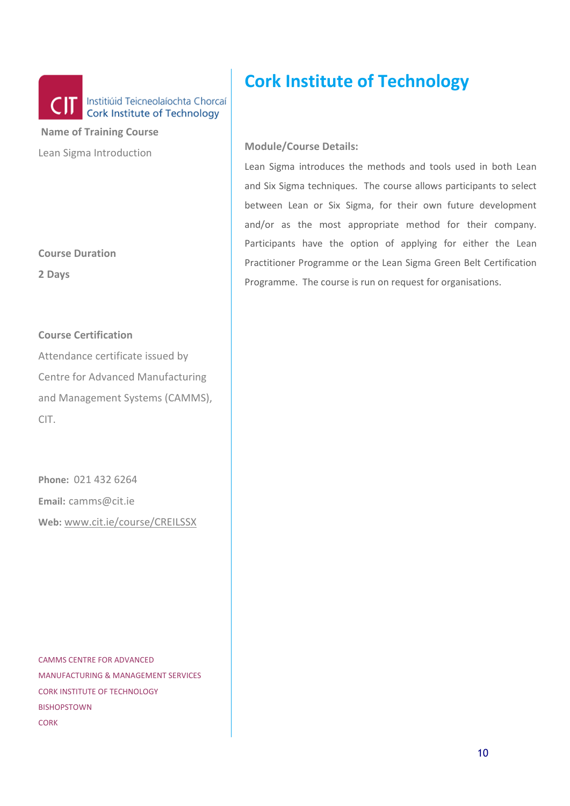

 **Name of Training Course**  Lean Sigma Introduction

**Course Duration** 

**2 Days** 

#### **Course Certification**

Attendance certificate issued by Centre for Advanced Manufacturing and Management Systems (CAMMS), CIT.

**Phone:** 021 432 6264 **Email:** camms@cit.ie **Web:** www.cit.ie/course/CREILSSX

CAMMS CENTRE FOR ADVANCED MANUFACTURING & MANAGEMENT SERVICES CORK INSTITUTE OF TECHNOLOGY BISHOPSTOWN CORK

## **Cork Institute of Technology**

#### **Module/Course Details:**

Lean Sigma introduces the methods and tools used in both Lean and Six Sigma techniques. The course allows participants to select between Lean or Six Sigma, for their own future development and/or as the most appropriate method for their company. Participants have the option of applying for either the Lean Practitioner Programme or the Lean Sigma Green Belt Certification Programme. The course is run on request for organisations.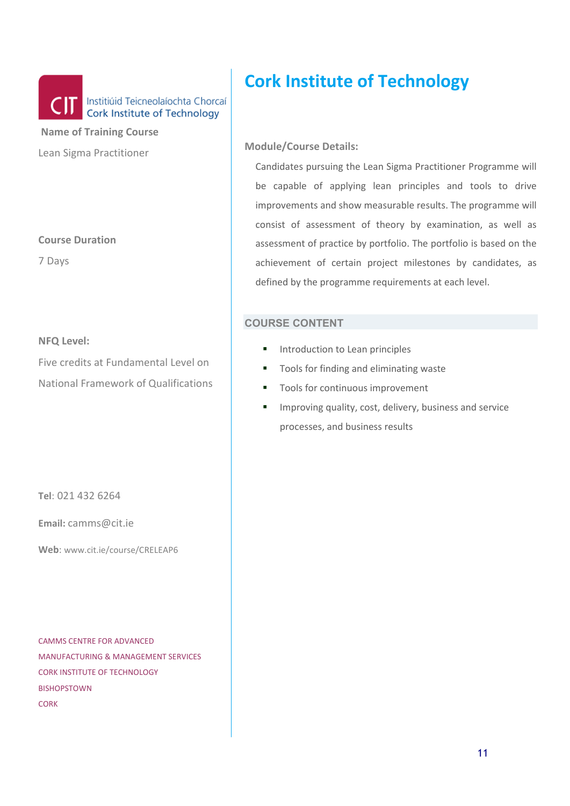

 **Name of Training Course**  Lean Sigma Practitioner

#### **Course Duration**

7 Days

#### **NFQ Level:**

Five credits at Fundamental Level on National Framework of Qualifications

**Tel**: 021 432 6264

**Email:** camms@cit.ie

**Web**: www.cit.ie/course/CRELEAP6

CAMMS CENTRE FOR ADVANCED MANUFACTURING & MANAGEMENT SERVICES CORK INSTITUTE OF TECHNOLOGY BISHOPSTOWN **CORK** 

## **Cork Institute of Technology**

#### **Module/Course Details:**

Candidates pursuing the Lean Sigma Practitioner Programme will be capable of applying lean principles and tools to drive improvements and show measurable results. The programme will consist of assessment of theory by examination, as well as assessment of practice by portfolio. The portfolio is based on the achievement of certain project milestones by candidates, as defined by the programme requirements at each level.

- **Introduction to Lean principles**
- Tools for finding and eliminating waste
- Tools for continuous improvement
- **IMPROVING QUALITY, COST, delivery, business and service** processes, and business results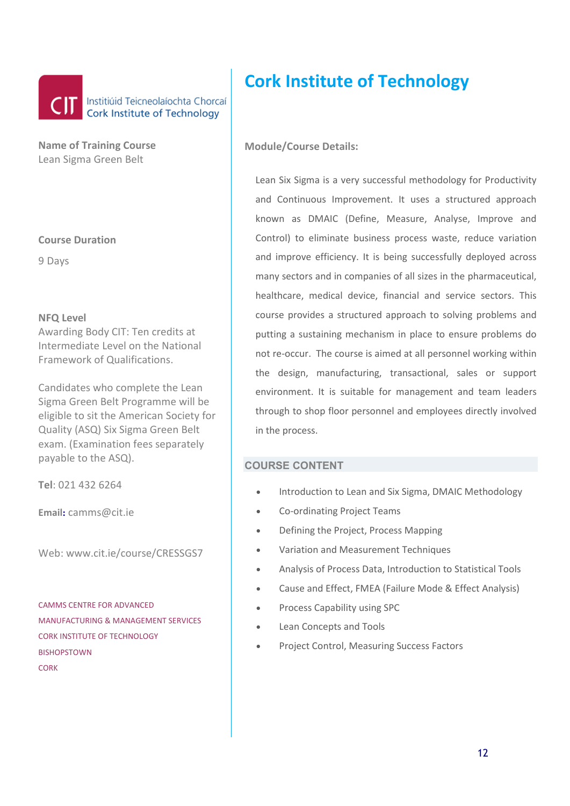

**Name of Training Course**  Lean Sigma Green Belt

#### **Course Duration**

9 Days

#### **NFQ Level**

Awarding Body CIT: Ten credits at Intermediate Level on the National Framework of Qualifications.

Candidates who complete the Lean Sigma Green Belt Programme will be eligible to sit the American Society for Quality (ASQ) Six Sigma Green Belt exam. (Examination fees separately payable to the ASQ).

**Tel**: 021 432 6264

**Email:** camms@cit.ie

Web: www.cit.ie/course/CRESSGS7

CAMMS CENTRE FOR ADVANCED MANUFACTURING & MANAGEMENT SERVICES CORK INSTITUTE OF TECHNOLOGY BISHOPSTOWN **CORK** 

## **Cork Institute of Technology**

#### **Module/Course Details:**

Lean Six Sigma is a very successful methodology for Productivity and Continuous Improvement. It uses a structured approach known as DMAIC (Define, Measure, Analyse, Improve and Control) to eliminate business process waste, reduce variation and improve efficiency. It is being successfully deployed across many sectors and in companies of all sizes in the pharmaceutical, healthcare, medical device, financial and service sectors. This course provides a structured approach to solving problems and putting a sustaining mechanism in place to ensure problems do not re-occur. The course is aimed at all personnel working within the design, manufacturing, transactional, sales or support environment. It is suitable for management and team leaders through to shop floor personnel and employees directly involved in the process.

- Introduction to Lean and Six Sigma, DMAIC Methodology
- Co-ordinating Project Teams
- Defining the Project, Process Mapping
- Variation and Measurement Techniques
- Analysis of Process Data, Introduction to Statistical Tools
- Cause and Effect, FMEA (Failure Mode & Effect Analysis)
- Process Capability using SPC
- Lean Concepts and Tools
- Project Control, Measuring Success Factors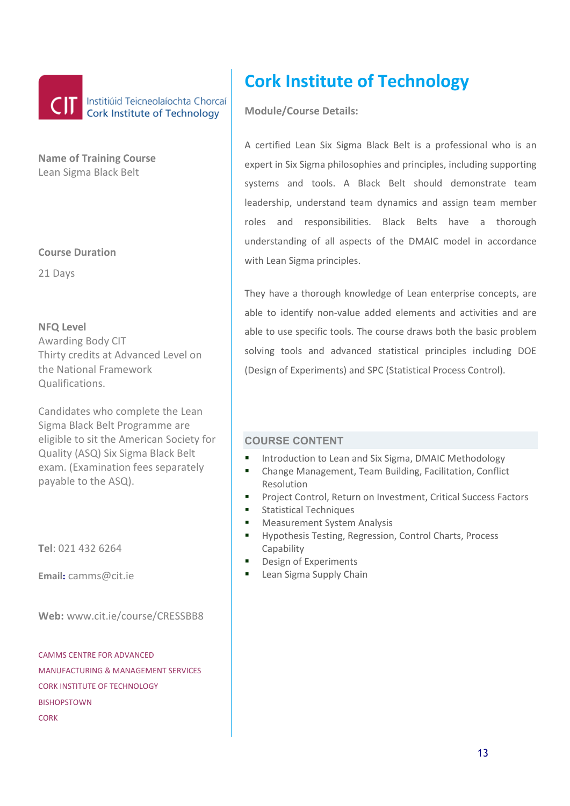

**Name of Training Course**  Lean Sigma Black Belt

**Course Duration** 

21 Days

**NFQ Level** Awarding Body CIT Thirty credits at Advanced Level on the National Framework Qualifications.

Candidates who complete the Lean Sigma Black Belt Programme are eligible to sit the American Society for Quality (ASQ) Six Sigma Black Belt exam. (Examination fees separately payable to the ASQ).

**Tel**: 021 432 6264

**Email:** camms@cit.ie

**Web:** www.cit.ie/course/CRESSBB8

CAMMS CENTRE FOR ADVANCED MANUFACTURING & MANAGEMENT SERVICES CORK INSTITUTE OF TECHNOLOGY **BISHOPSTOWN** CORK

# **Cork Institute of Technology**

**Module/Course Details:** 

A certified Lean Six Sigma Black Belt is a professional who is an expert in Six Sigma philosophies and principles, including supporting systems and tools. A Black Belt should demonstrate team leadership, understand team dynamics and assign team member roles and responsibilities. Black Belts have a thorough understanding of all aspects of the DMAIC model in accordance with Lean Sigma principles.

They have a thorough knowledge of Lean enterprise concepts, are able to identify non-value added elements and activities and are able to use specific tools. The course draws both the basic problem solving tools and advanced statistical principles including DOE (Design of Experiments) and SPC (Statistical Process Control).

- Introduction to Lean and Six Sigma, DMAIC Methodology
- Change Management, Team Building, Facilitation, Conflict Resolution
- **Project Control, Return on Investment, Critical Success Factors**
- **Statistical Techniques**
- **Measurement System Analysis**
- Hypothesis Testing, Regression, Control Charts, Process Capability
- Design of Experiments
- Lean Sigma Supply Chain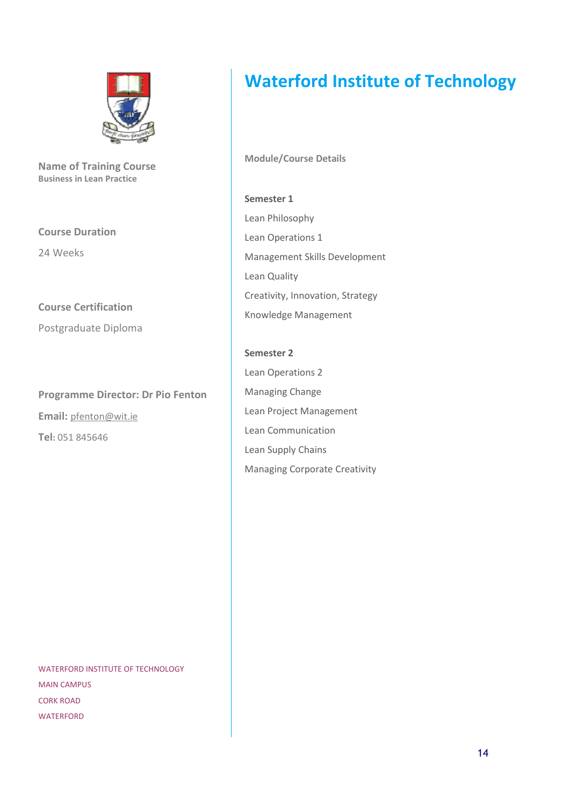

**Name of Training Course Business in Lean Practice** 

**Course Duration** 

24 Weeks

**Course Certification** 

Postgraduate Diploma

**Programme Director: Dr Pio Fenton Email:** pfenton@wit.ie **Tel:** 051 845646

WATERFORD INSTITUTE OF TECHNOLOGY MAIN CAMPUS CORK ROAD **WATERFORD** 

## **Waterford Institute of Technology**

**Module/Course Details** 

**Semester 1**  Lean Philosophy Lean Operations 1 Management Skills Development Lean Quality Creativity, Innovation, Strategy Knowledge Management

**Semester 2**  Lean Operations 2 Managing Change Lean Project Management Lean Communication Lean Supply Chains Managing Corporate Creativity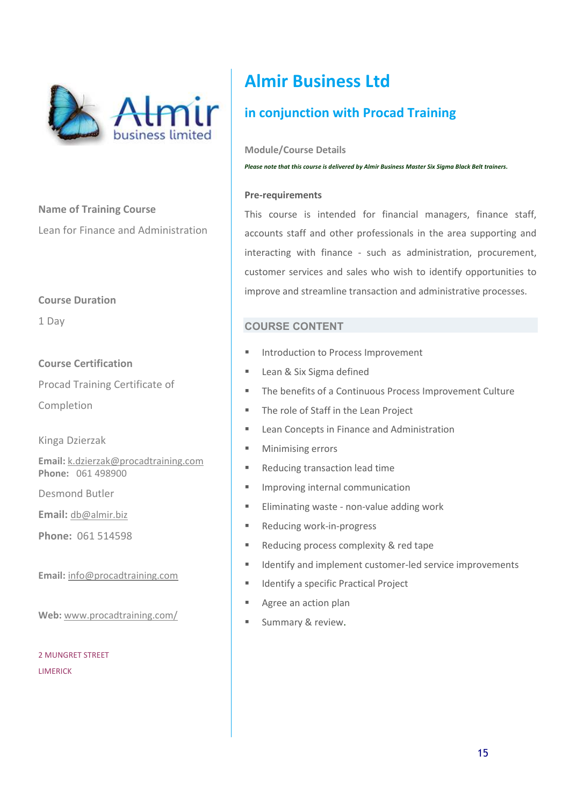

**Name of Training Course**  Lean for Finance and Administration

#### **Course Duration**

1 Day

#### **Course Certification**

Procad Training Certificate of

Completion

Kinga Dzierzak

**Email:** k.dzierzak@procadtraining.com **Phone:** 061 498900

Desmond Butler

**Email:** db@almir.biz

**Phone:** 061 514598

**Email:** info@procadtraining.com

**Web:** www.procadtraining.com/

2 MUNGRET STREET LIMERICK

## **Almir Business Ltd**

## **in conjunction with Procad Training**

**Module/Course Details** 

*Please note that this course is delivered by Almir Business Master Six Sigma Black Belt trainers.* 

#### **Pre-requirements**

This course is intended for financial managers, finance staff, accounts staff and other professionals in the area supporting and interacting with finance - such as administration, procurement, customer services and sales who wish to identify opportunities to improve and streamline transaction and administrative processes.

- **Introduction to Process Improvement**
- Lean & Six Sigma defined
- **The benefits of a Continuous Process Improvement Culture**
- **The role of Staff in the Lean Project**
- **E** Lean Concepts in Finance and Administration
- **Minimising errors**
- Reducing transaction lead time
- **Improving internal communication**
- **Eliminating waste non-value adding work**
- Reducing work-in-progress
- Reducing process complexity & red tape
- Identify and implement customer-led service improvements
- Identify a specific Practical Project
- Agree an action plan
- Summary & review.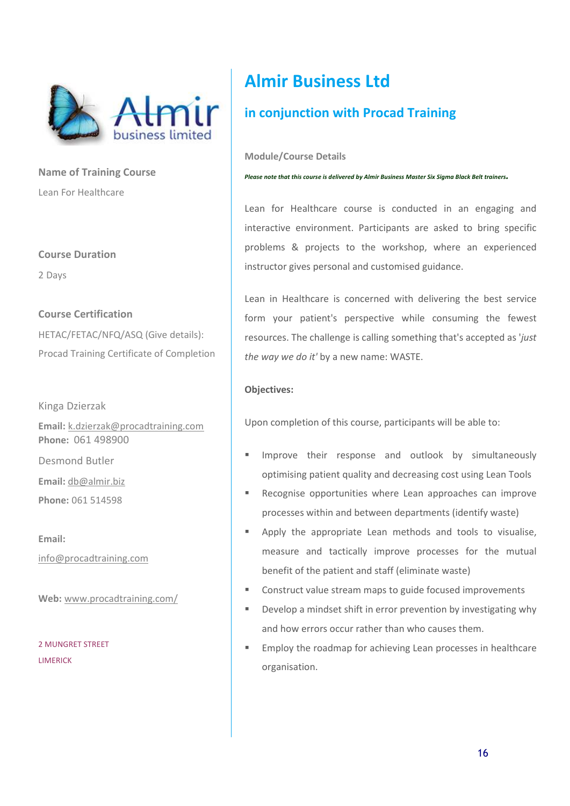

**Name of Training Course**  Lean For Healthcare

**Course Duration** 

2 Days

#### **Course Certification**

HETAC/FETAC/NFQ/ASQ (Give details): Procad Training Certificate of Completion

Kinga Dzierzak

**Email:** k.dzierzak@procadtraining.com **Phone:** 061 498900

Desmond Butler

**Email:** db@almir.biz

**Phone:** 061 514598

**Email:** 

info@procadtraining.com

**Web:** www.procadtraining.com/

2 MUNGRET STREET LIMERICK

## **Almir Business Ltd**

## **in conjunction with Procad Training**

**Module/Course Details** 

*Please note that this course is delivered by Almir Business Master Six Sigma Black Belt trainers.* 

Lean for Healthcare course is conducted in an engaging and interactive environment. Participants are asked to bring specific problems & projects to the workshop, where an experienced instructor gives personal and customised guidance.

Lean in Healthcare is concerned with delivering the best service form your patient's perspective while consuming the fewest resources. The challenge is calling something that's accepted as '*just the way we do it'* by a new name: WASTE.

#### **Objectives:**

Upon completion of this course, participants will be able to:

- Improve their response and outlook by simultaneously optimising patient quality and decreasing cost using Lean Tools
- Recognise opportunities where Lean approaches can improve processes within and between departments (identify waste)
- **Apply the appropriate Lean methods and tools to visualise,** measure and tactically improve processes for the mutual benefit of the patient and staff (eliminate waste)
- Construct value stream maps to guide focused improvements
- **Develop a mindset shift in error prevention by investigating why** and how errors occur rather than who causes them.
- **Employ the roadmap for achieving Lean processes in healthcare** organisation.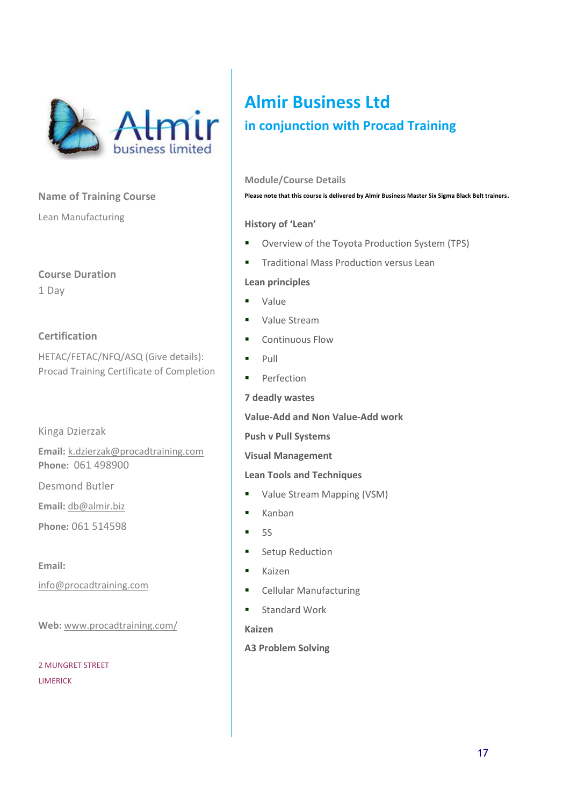

Lean Manufacturing

**Course Duration** 1 Day

#### **Certification**

HETAC/FETAC/NFQ/ASQ (Give details): Procad Training Certificate of Completion

#### Kinga Dzierzak

**Email:** k.dzierzak@procadtraining.com **Phone:** 061 498900

Desmond Butler

**Email:** db@almir.biz

**Phone:** 061 514598

**Email:** 

info@procadtraining.com

**Web:** www.procadtraining.com/

2 MUNGRET STREET LIMERICK

## **Almir Business Ltd in conjunction with Procad Training**

#### **Module/Course Details**

**Please note that this course is delivered by Almir Business Master Six Sigma Black Belt trainers**.

#### **History of 'Lean'**

- **•** Overview of the Toyota Production System (TPS)
- **Traditional Mass Production versus Lean**

#### **Lean principles**

- Value
- Value Stream
- Continuous Flow
- $\blacksquare$  Pull
- **Perfection**

**7 deadly wastes** 

**Value-Add and Non Value-Add work** 

**Push v Pull Systems** 

**Visual Management** 

#### **Lean Tools and Techniques**

- Value Stream Mapping (VSM)
- **Kanban**
- $5S$
- **Setup Reduction**
- **Kaizen**
- **E** Cellular Manufacturing
- **Standard Work**

#### **Kaizen**

**A3 Problem Solving**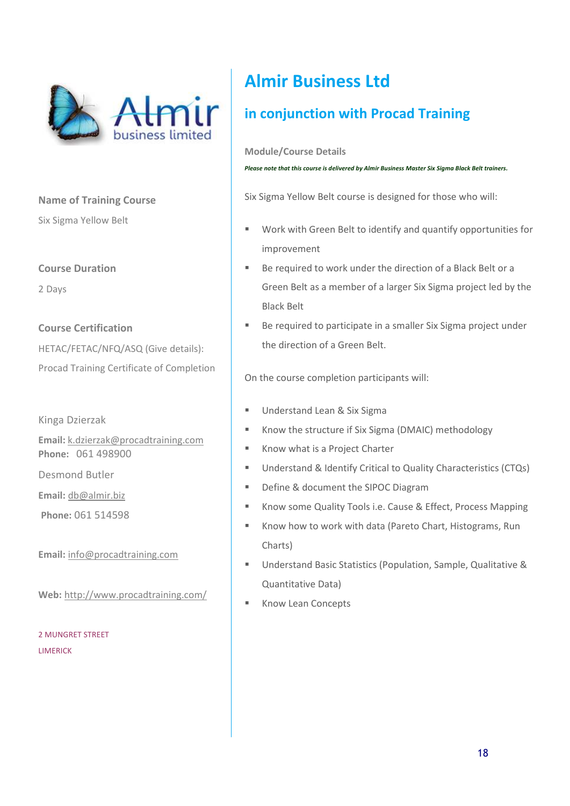

Six Sigma Yellow Belt

**Course Duration** 

2 Days

**Course Certification**  HETAC/FETAC/NFQ/ASQ (Give details): Procad Training Certificate of Completion

Kinga Dzierzak

**Email:** k.dzierzak@procadtraining.com **Phone:** 061 498900

Desmond Butler

**Email:** db@almir.biz

**Phone:** 061 514598

**Email:** info@procadtraining.com

**Web:** http://www.procadtraining.com/

2 MUNGRET STREET LIMERICK

## **Almir Business Ltd**

## **in conjunction with Procad Training**

**Module/Course Details** 

*Please note that this course is delivered by Almir Business Master Six Sigma Black Belt trainers.* 

Six Sigma Yellow Belt course is designed for those who will:

- Work with Green Belt to identify and quantify opportunities for improvement
- Be required to work under the direction of a Black Belt or a Green Belt as a member of a larger Six Sigma project led by the Black Belt
- **Be required to participate in a smaller Six Sigma project under** the direction of a Green Belt.

On the course completion participants will:

- **Understand Lean & Six Sigma**
- Know the structure if Six Sigma (DMAIC) methodology
- Know what is a Project Charter
- Understand & Identify Critical to Quality Characteristics (CTQs)
- Define & document the SIPOC Diagram
- **Know some Quality Tools i.e. Cause & Effect, Process Mapping**
- Know how to work with data (Pareto Chart, Histograms, Run Charts)
- Understand Basic Statistics (Population, Sample, Qualitative & Quantitative Data)
- Know Lean Concepts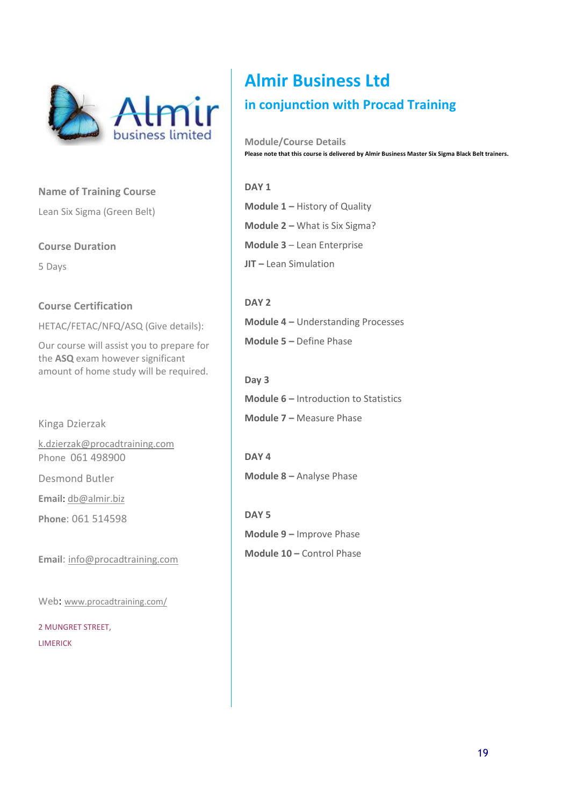

Lean Six Sigma (Green Belt)

#### **Course Duration**

5 Days

#### **Course Certification**

HETAC/FETAC/NFQ/ASQ (Give details):

Our course will assist you to prepare for the **ASQ** exam however significant amount of home study will be required.

Kinga Dzierzak

k.dzierzak@procadtraining.com Phone 061 498900

Desmond Butler

**Email**: db@almir.biz

**Phone**: 061 514598

**Email**: info@procadtraining.com

Web: www.procadtraining.com/

2 MUNGRET STREET, LIMERICK

# **Almir Business Ltd**

### **in conjunction with Procad Training**

**Module/Course Details Please note that this course is delivered by Almir Business Master Six Sigma Black Belt trainers.** 

#### **DAY 1**

**Module 1 –** History of Quality **Module 2 –** What is Six Sigma? **Module 3** – Lean Enterprise **JIT –** Lean Simulation

**DAY 2 Module 4 –** Understanding Processes **Module 5 –** Define Phase

**Day 3 Module 6 –** Introduction to Statistics **Module 7 –** Measure Phase

**DAY 4 Module 8 –** Analyse Phase

**DAY 5 Module 9 –** Improve Phase **Module 10 –** Control Phase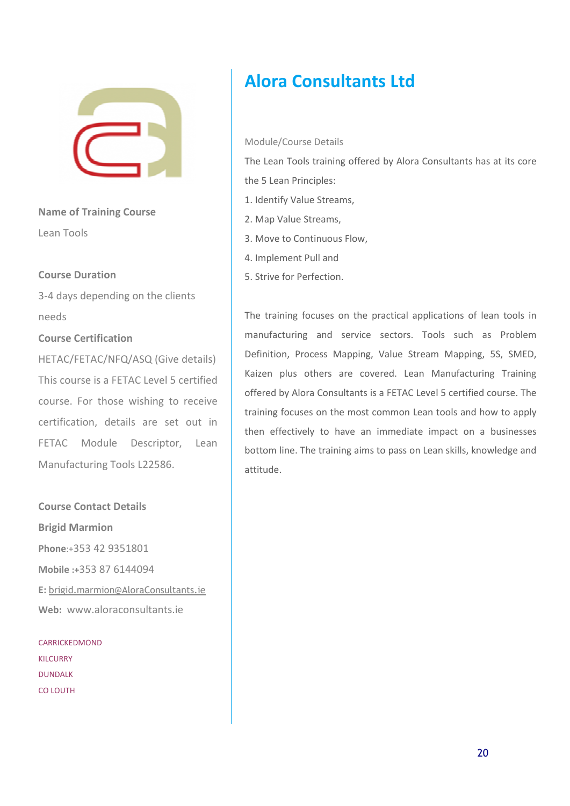

**Name of Training Course**  Lean Tools

#### **Course Duration**

3-4 days depending on the clients needs

#### **Course Certification**

HETAC/FETAC/NFQ/ASQ (Give details) This course is a FETAC Level 5 certified course. For those wishing to receive certification, details are set out in FETAC Module Descriptor, Lean Manufacturing Tools L22586.

**Course Contact Details Brigid Marmion Phone**:+353 42 9351801 **Mobile :+**353 87 6144094 **E:** brigid.marmion@AloraConsultants.ie **Web:** www.aloraconsultants.ie

CARRICKEDMOND KILCURRY DUNDALK CO LOUTH

## **Alora Consultants Ltd**

#### Module/Course Details

The Lean Tools training offered by Alora Consultants has at its core the 5 Lean Principles:

- 1. Identify Value Streams,
- 2. Map Value Streams,
- 3. Move to Continuous Flow,
- 4. Implement Pull and
- 5. Strive for Perfection.

The training focuses on the practical applications of lean tools in manufacturing and service sectors. Tools such as Problem Definition, Process Mapping, Value Stream Mapping, 5S, SMED, Kaizen plus others are covered. Lean Manufacturing Training offered by Alora Consultants is a FETAC Level 5 certified course. The training focuses on the most common Lean tools and how to apply then effectively to have an immediate impact on a businesses bottom line. The training aims to pass on Lean skills, knowledge and attitude.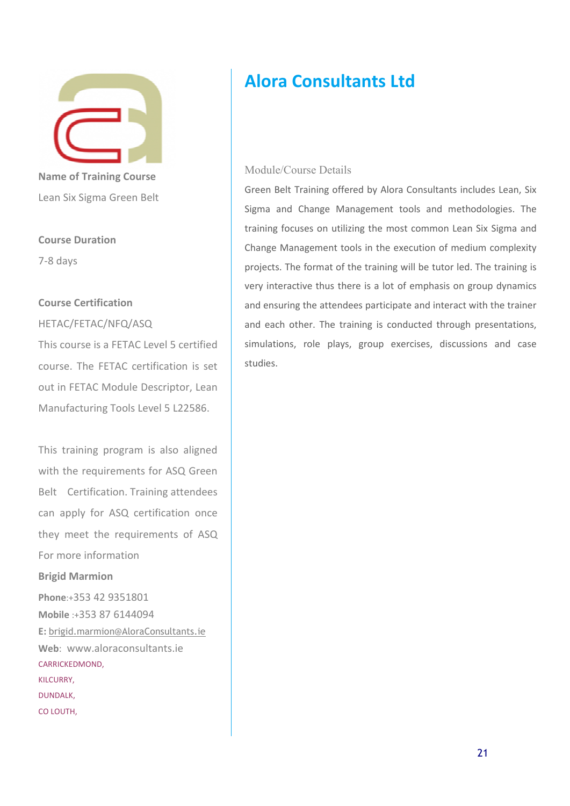Lean Six Sigma Green Belt

#### **Course Duration**

7-8 days

#### **Course Certification**

#### HETAC/FETAC/NFQ/ASQ

This course is a FETAC Level 5 certified course. The FETAC certification is set out in FETAC Module Descriptor, Lean Manufacturing Tools Level 5 L22586.

This training program is also aligned with the requirements for ASQ Green Belt Certification. Training attendees can apply for ASQ certification once they meet the requirements of ASQ For more information

#### **Brigid Marmion**

**Phone**:+353 42 9351801 **Mobile** :+353 87 6144094 **E:** brigid.marmion@AloraConsultants.ie **Web**: www.aloraconsultants.ie CARRICKEDMOND, KILCURRY, DUNDALK, CO LOUTH,

## **Alora Consultants Ltd**

#### Module/Course Details

Green Belt Training offered by Alora Consultants includes Lean, Six Sigma and Change Management tools and methodologies. The training focuses on utilizing the most common Lean Six Sigma and Change Management tools in the execution of medium complexity projects. The format of the training will be tutor led. The training is very interactive thus there is a lot of emphasis on group dynamics and ensuring the attendees participate and interact with the trainer and each other. The training is conducted through presentations, simulations, role plays, group exercises, discussions and case studies.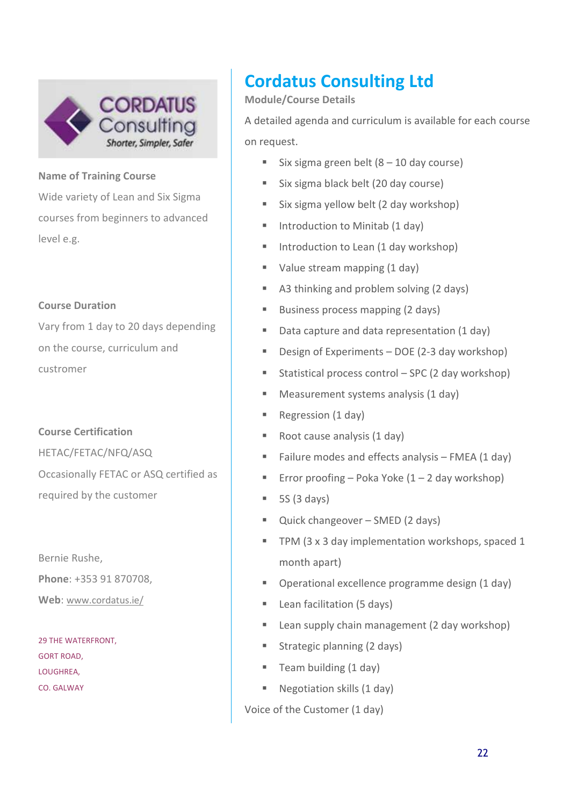

Wide variety of Lean and Six Sigma courses from beginners to advanced level e.g.

#### **Course Duration**

Vary from 1 day to 20 days depending on the course, curriculum and custromer

**Course Certification**  HETAC/FETAC/NFQ/ASQ Occasionally FETAC or ASQ certified as required by the customer

Bernie Rushe, **Phone**: +353 91 870708, **Web**: www.cordatus.ie/

29 THE WATERFRONT, GORT ROAD, LOUGHREA, CO. GALWAY

# **Cordatus Consulting Ltd**

#### **Module/Course Details**

A detailed agenda and curriculum is available for each course on request.

- Six sigma green belt  $(8 10$  day course)
- Six sigma black belt (20 day course)
- Six sigma yellow belt (2 day workshop)
- Introduction to Minitab (1 day)
- Introduction to Lean (1 day workshop)
- Value stream mapping (1 day)
- A3 thinking and problem solving (2 days)
- Business process mapping (2 days)
- Data capture and data representation (1 day)
- Design of Experiments DOE (2-3 day workshop)
- Statistical process control SPC (2 day workshop)
- **Measurement systems analysis (1 day)**
- Regression (1 day)
- Root cause analysis (1 day)
- Failure modes and effects analysis  $-$  FMEA (1 day)
- **Error proofing Poka Yoke (1 2 day workshop)**
- $\blacksquare$  5S (3 days)
- Quick changeover SMED (2 days)
- TPM (3 x 3 day implementation workshops, spaced 1 month apart)
- Operational excellence programme design (1 day)
- **Lean facilitation (5 days)**
- **E** Lean supply chain management (2 day workshop)
- **Strategic planning (2 days)**
- Team building (1 day)
- Negotiation skills (1 day)

Voice of the Customer (1 day)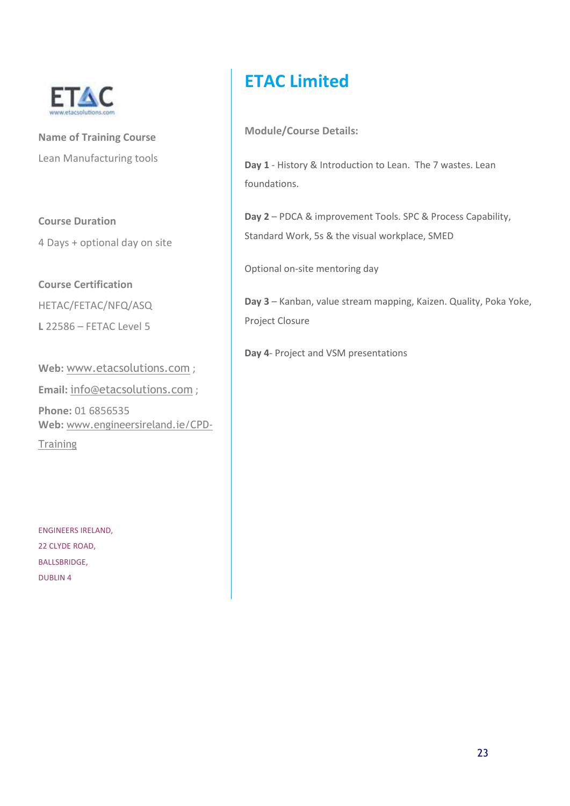

**Name of Training Course**  Lean Manufacturing tools

**Course Duration** 

4 Days + optional day on site

**Course Certification**  HETAC/FETAC/NFQ/ASQ

**L** 22586 – FETAC Level 5

**Web:** www.etacsolutions.com ; **Email:** info@etacsolutions.com ; **Phone:** 01 6856535 **Web:** www.engineersireland.ie/CPD-**Training** 

ENGINEERS IRELAND, 22 CLYDE ROAD, BALLSBRIDGE, DUBLIN 4

## **ETAC Limited**

**Module/Course Details:** 

**Day 1** - History & Introduction to Lean. The 7 wastes. Lean foundations.

**Day 2** – PDCA & improvement Tools. SPC & Process Capability, Standard Work, 5s & the visual workplace, SMED

Optional on-site mentoring day

**Day 3** – Kanban, value stream mapping, Kaizen. Quality, Poka Yoke, Project Closure

**Day 4**- Project and VSM presentations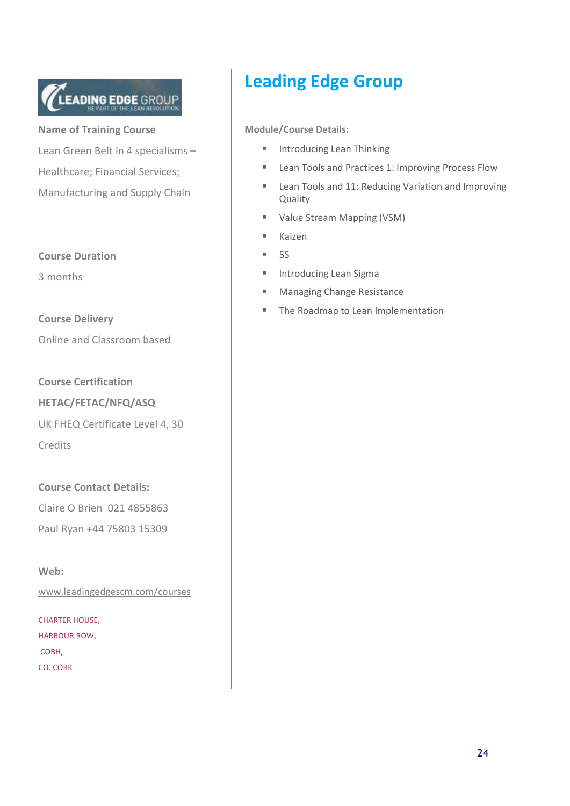# LEADING EDGE GROUP

**Name of Training Course**  Lean Green Belt in 4 specialisms – Healthcare; Financial Services; Manufacturing and Supply Chain

#### **Course Duration**

3 months

**Course Delivery**  Online and Classroom based

**Course Certification** 

**HETAC/FETAC/NFQ/ASQ** 

UK FHEQ Certificate Level 4, 30 Credits

**Course Contact Details:** 

Claire O Brien 021 4855863

Paul Ryan +44 75803 15309

**Web:** 

www.leadingedgescm.com/courses

CHARTER HOUSE, HARBOUR ROW, COBH, CO. CORK

## **Leading Edge Group**

- **Introducing Lean Thinking**
- **Lean Tools and Practices 1: Improving Process Flow**
- **E** Lean Tools and 11: Reducing Variation and Improving Quality
- **Value Stream Mapping (VSM)**
- Kaizen
- $-5S$
- **Introducing Lean Sigma**
- **Managing Change Resistance**
- The Roadmap to Lean Implementation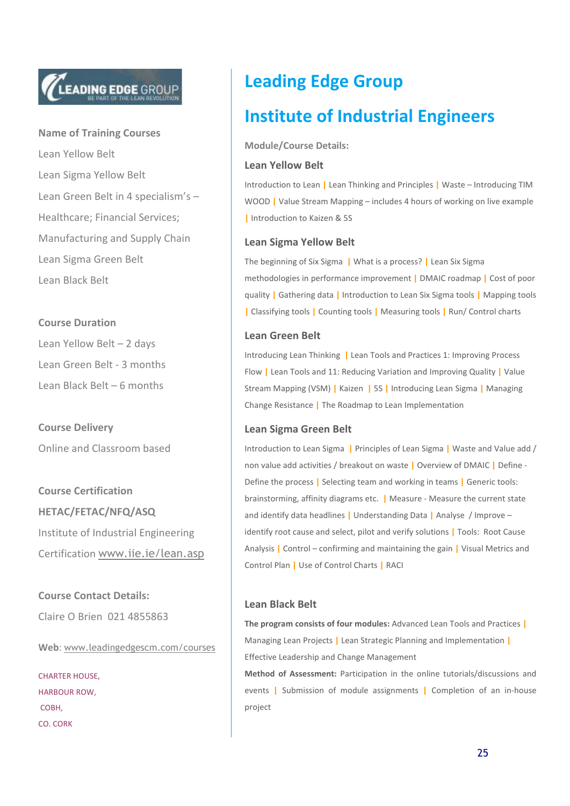# **LEADING EDGE GROUP**

**Name of Training Courses**  Lean Yellow Belt Lean Sigma Yellow Belt Lean Green Belt in 4 specialism's – Healthcare; Financial Services; Manufacturing and Supply Chain Lean Sigma Green Belt Lean Black Belt

#### **Course Duration**

Lean Yellow Belt – 2 days Lean Green Belt - 3 months Lean Black Belt – 6 months

**Course Delivery**  Online and Classroom based

**Course Certification HETAC/FETAC/NFQ/ASQ**  Institute of Industrial Engineering Certification www.iie.ie/lean.asp

**Course Contact Details:** 

Claire O Brien 021 4855863

**Web**: www.leadingedgescm.com/courses

CHARTER HOUSE, HARBOUR ROW, COBH, CO. CORK

## **Leading Edge Group**

## **Institute of Industrial Engineers**

**Module/Course Details:** 

#### **Lean Yellow Belt**

Introduction to Lean **|** Lean Thinking and Principles **|** Waste – Introducing TIM WOOD **|** Value Stream Mapping – includes 4 hours of working on live example **|** Introduction to Kaizen & 5S

#### **Lean Sigma Yellow Belt**

The beginning of Six Sigma **|** What is a process? **|** Lean Six Sigma methodologies in performance improvement **|** DMAIC roadmap **|** Cost of poor quality **|** Gathering data **|** Introduction to Lean Six Sigma tools **|** Mapping tools **|** Classifying tools **|** Counting tools **|** Measuring tools **|** Run/ Control charts

#### **Lean Green Belt**

Introducing Lean Thinking **|** Lean Tools and Practices 1: Improving Process Flow **|** Lean Tools and 11: Reducing Variation and Improving Quality **|** Value Stream Mapping (VSM) **|** Kaizen **|** 5S **|** Introducing Lean Sigma **|** Managing Change Resistance **|** The Roadmap to Lean Implementation

#### **Lean Sigma Green Belt**

Introduction to Lean Sigma **|** Principles of Lean Sigma **|** Waste and Value add / non value add activities / breakout on waste **|** Overview of DMAIC **|** Define - Define the process **|** Selecting team and working in teams **|** Generic tools: brainstorming, affinity diagrams etc. **|** Measure - Measure the current state and identify data headlines **|** Understanding Data **|** Analyse / Improve – identify root cause and select, pilot and verify solutions **|** Tools: Root Cause Analysis **|** Control – confirming and maintaining the gain **|** Visual Metrics and Control Plan **|** Use of Control Charts **|** RACI

#### **Lean Black Belt**

**The program consists of four modules:** Advanced Lean Tools and Practices **|** Managing Lean Projects **|** Lean Strategic Planning and Implementation **|** Effective Leadership and Change Management

**Method of Assessment:** Participation in the online tutorials/discussions and events **|** Submission of module assignments **|** Completion of an in-house project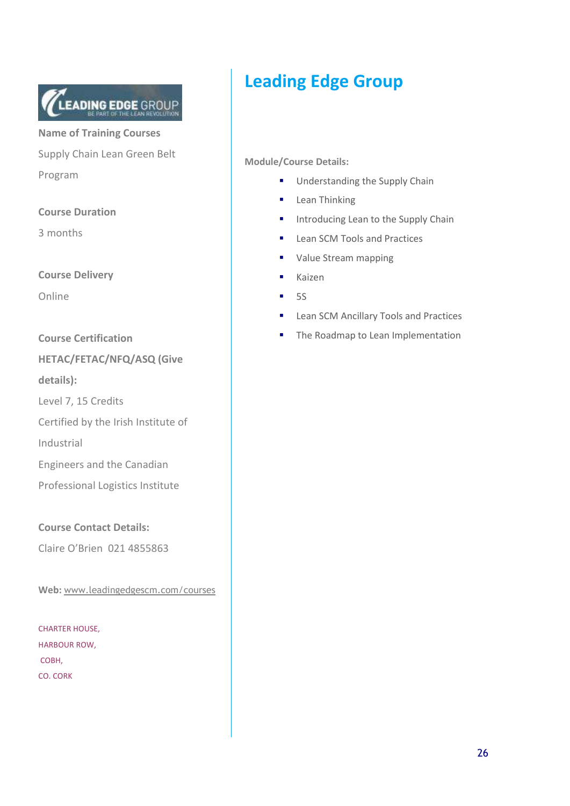

**Name of Training Courses**  Supply Chain Lean Green Belt Program

**Course Duration** 

3 months

**Course Delivery** 

Online

**Course Certification** 

**HETAC/FETAC/NFQ/ASQ (Give details):**

Level 7, 15 Credits

Certified by the Irish Institute of

Industrial

Engineers and the Canadian

Professional Logistics Institute

**Course Contact Details:** 

Claire O'Brien 021 4855863

**Web:** www.leadingedgescm.com/courses

CHARTER HOUSE, HARBOUR ROW, COBH, CO. CORK

## **Leading Edge Group**

- **Understanding the Supply Chain**
- **Lean Thinking**
- **Introducing Lean to the Supply Chain**
- **Lean SCM Tools and Practices**
- **Value Stream mapping**
- Kaizen
- $-5S$
- **Lean SCM Ancillary Tools and Practices**
- The Roadmap to Lean Implementation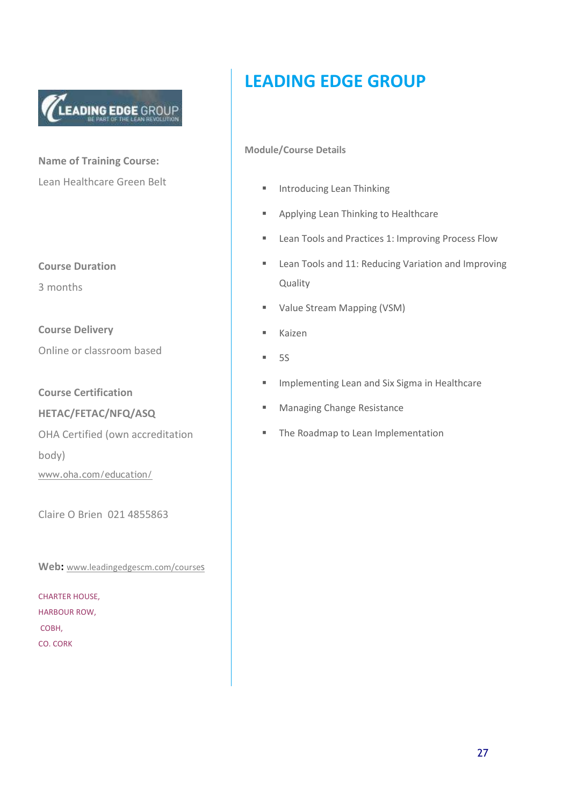

**Name of Training Course:** Lean Healthcare Green Belt

**Course Duration** 

3 months

**Course Delivery**  Online or classroom based

**Course Certification** 

**HETAC/FETAC/NFQ/ASQ** 

OHA Certified (own accreditation body)

www.oha.com/education/

Claire O Brien 021 4855863

**Web:** www.leadingedgescm.com/courses

CHARTER HOUSE, HARBOUR ROW, COBH, CO. CORK

## **LEADING EDGE GROUP**

- **Introducing Lean Thinking**
- **Applying Lean Thinking to Healthcare**
- **Lean Tools and Practices 1: Improving Process Flow**
- **EXECT:** Lean Tools and 11: Reducing Variation and Improving Quality
- **Value Stream Mapping (VSM)**
- **Kaizen**
- $5S$
- **Implementing Lean and Six Sigma in Healthcare**
- **Managing Change Resistance**
- The Roadmap to Lean Implementation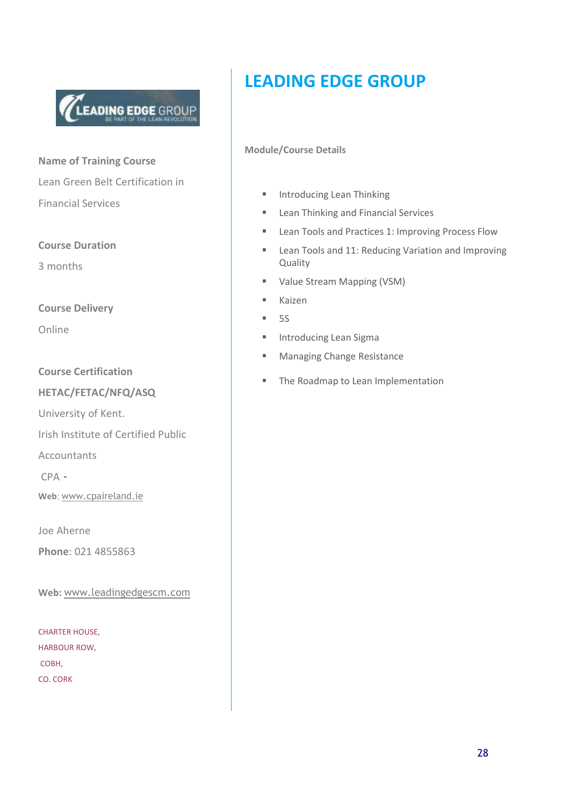

**Name of Training Course**  Lean Green Belt Certification in Financial Services

**Course Duration** 

3 months

**Course Delivery** 

Online

**Course Certification** 

#### **HETAC/FETAC/NFQ/ASQ**

University of Kent.

Irish Institute of Certified Public

Accountants

CPA -

**Web**: www.cpaireland.ie

Joe Aherne **Phone**: 021 4855863

**Web:** www.leadingedgescm.com

CHARTER HOUSE, HARBOUR ROW, COBH, CO. CORK

## **LEADING EDGE GROUP**

- **Introducing Lean Thinking**
- **Lean Thinking and Financial Services**
- **Exam Tools and Practices 1: Improving Process Flow**
- **EXECT** Lean Tools and 11: Reducing Variation and Improving Quality
- **Value Stream Mapping (VSM)**
- **Kaizen**
- $-5S$
- **Introducing Lean Sigma**
- **Managing Change Resistance**
- **The Roadmap to Lean Implementation**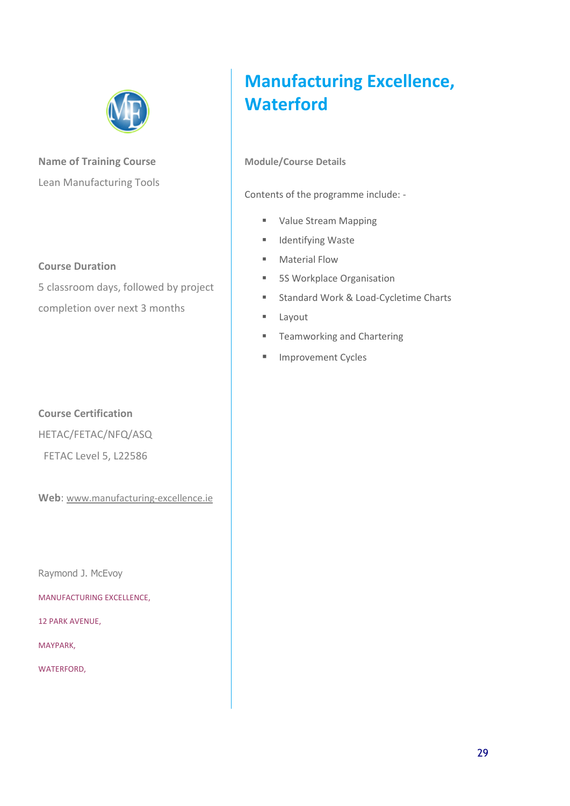

**Name of Training Course**  Lean Manufacturing Tools

#### **Course Duration**

5 classroom days, followed by project completion over next 3 months

#### **Course Certification**

HETAC/FETAC/NFQ/ASQ

FETAC Level 5, L22586

**Web**: www.manufacturing-excellence.ie

Raymond J. McEvoy

MANUFACTURING EXCELLENCE,

12 PARK AVENUE,

MAYPARK,

WATERFORD,

# **Manufacturing Excellence, Waterford**

**Module/Course Details** 

Contents of the programme include: -

- **Value Stream Mapping**
- **I** Identifying Waste
- **Material Flow**
- **5S Workplace Organisation**
- **Standard Work & Load-Cycletime Charts**
- **E** Layout
- **Teamworking and Chartering**
- **Improvement Cycles**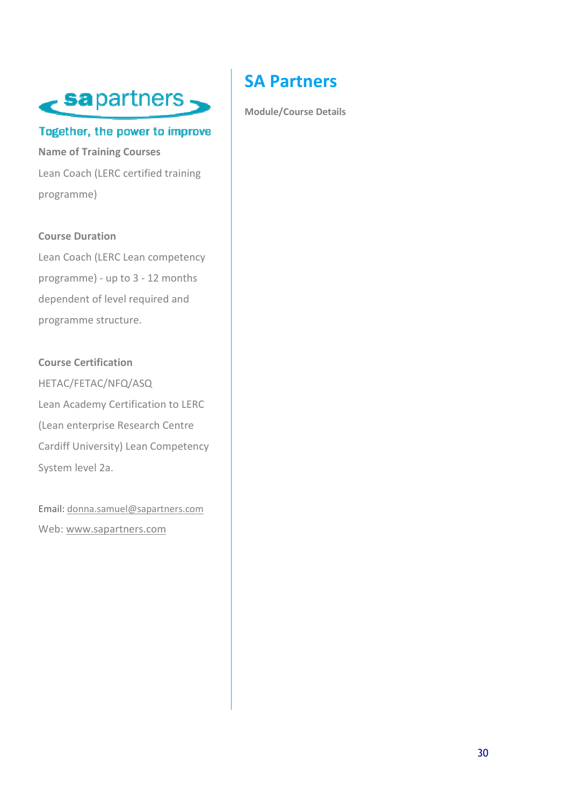

#### Together, the power to improve

**Name of Training Courses**  Lean Coach (LERC certified training programme)

#### **Course Duration**

Lean Coach (LERC Lean competency programme) - up to 3 - 12 months dependent of level required and programme structure.

**Course Certification**  HETAC/FETAC/NFQ/ASQ Lean Academy Certification to LERC (Lean enterprise Research Centre Cardiff University) Lean Competency System level 2a.

Email: donna.samuel@sapartners.com Web: www.sapartners.com

## **SA Partners**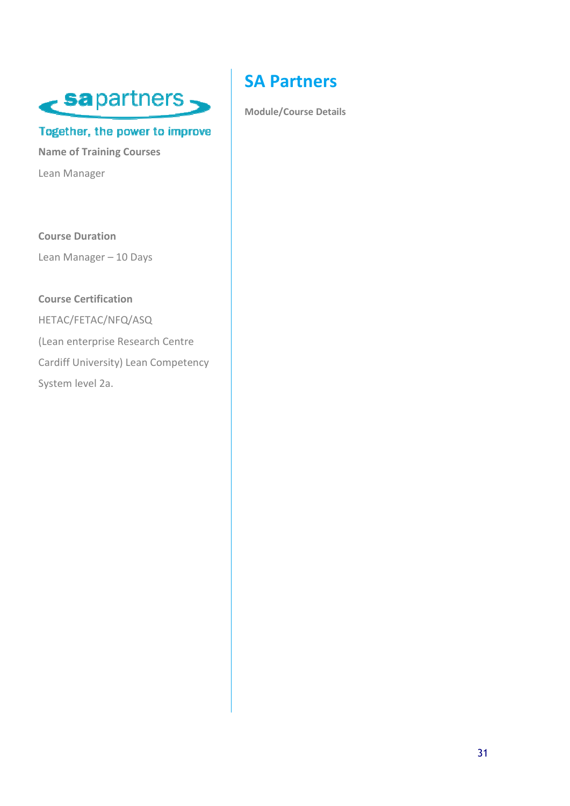

#### Together, the power to improve

**Name of Training Courses**  Lean Manager

**Course Duration**  Lean Manager – 10 Days

#### **Course Certification**

HETAC/FETAC/NFQ/ASQ (Lean enterprise Research Centre Cardiff University) Lean Competency System level 2a.

## **SA Partners**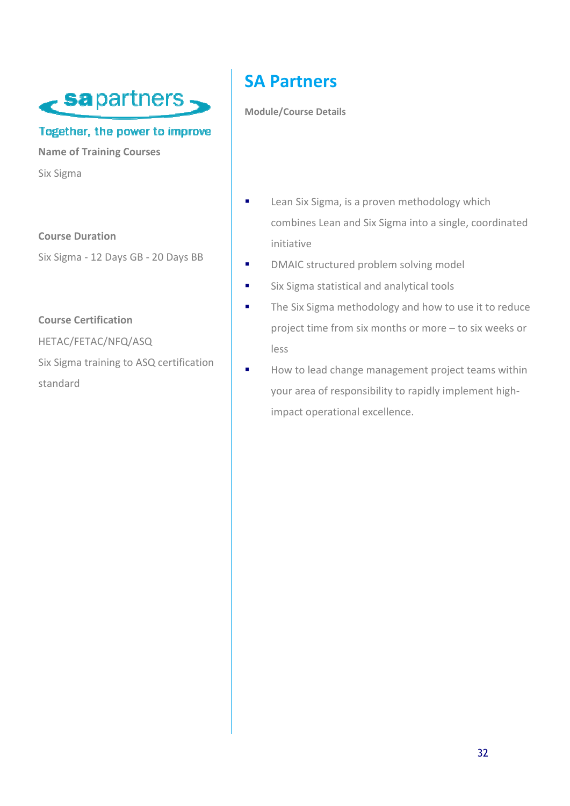

#### Together, the power to improve

**Name of Training Courses**  Six Sigma

**Course Duration**  Six Sigma - 12 Days GB - 20 Days BB

**Course Certification** 

HETAC/FETAC/NFQ/ASQ

Six Sigma training to ASQ certification standard

## **SA Partners**

- **Example 21** Lean Six Sigma, is a proven methodology which combines Lean and Six Sigma into a single, coordinated initiative
- **DMAIC structured problem solving model**
- **Six Sigma statistical and analytical tools**
- The Six Sigma methodology and how to use it to reduce project time from six months or more – to six weeks or less
- How to lead change management project teams within your area of responsibility to rapidly implement highimpact operational excellence.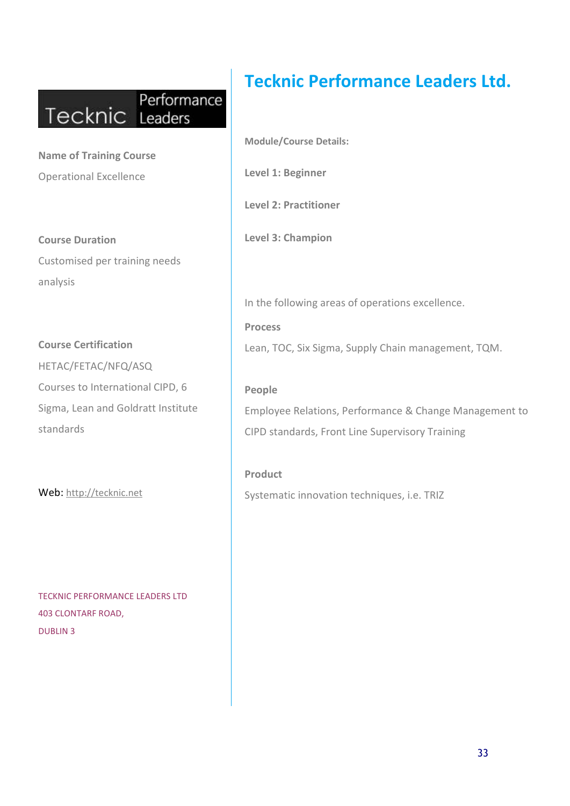## Performance Tecknic Leaders

**Name of Training Course**  Operational Excellence

**Course Duration**  Customised per training needs analysis

**Course Certification**  HETAC/FETAC/NFQ/ASQ Courses to International CIPD, 6 Sigma, Lean and Goldratt Institute standards

Web: http://tecknic.net

TECKNIC PERFORMANCE LEADERS LTD 403 CLONTARF ROAD, DUBLIN 3

## **Tecknic Performance Leaders Ltd.**

**Module/Course Details: Level 1: Beginner** 

**Level 2: Practitioner** 

**Level 3: Champion** 

In the following areas of operations excellence.

**Process**  Lean, TOC, Six Sigma, Supply Chain management, TQM.

**People**  Employee Relations, Performance & Change Management to CIPD standards, Front Line Supervisory Training

**Product** Systematic innovation techniques, i.e. TRIZ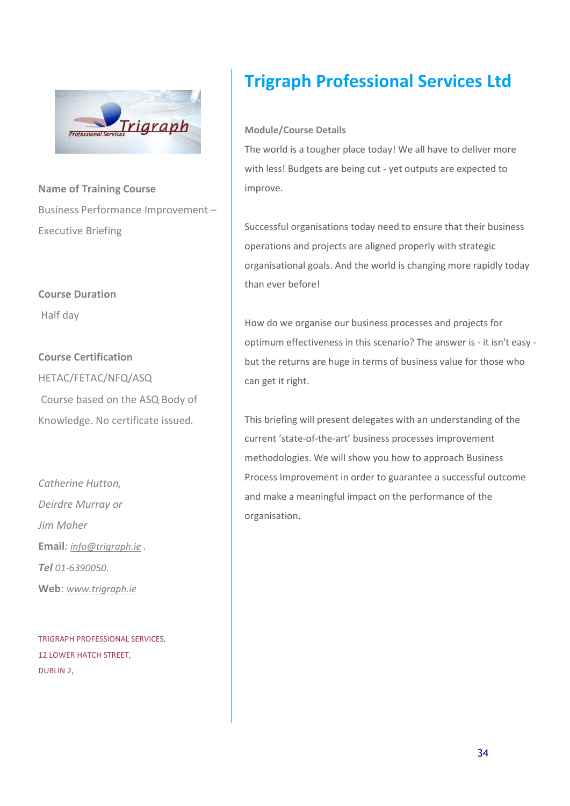

**Name of Training Course**  Business Performance Improvement – Executive Briefing

### **Course Duration**  Half day

**Course Certification**  HETAC/FETAC/NFQ/ASQ Course based on the ASQ Body of Knowledge. No certificate issued*.*

*Catherine Hutton, Deirdre Murray or Jim Maher* **Email***: info@trigraph.ie . Tel 01-6390050.*  **Web**: *www.trigraph.ie*

TRIGRAPH PROFESSIONAL SERVICES, 12 LOWER HATCH STREET, DUBLIN 2,

## **Trigraph Professional Services Ltd**

#### **Module/Course Details**

The world is a tougher place today! We all have to deliver more with less! Budgets are being cut - yet outputs are expected to improve.

Successful organisations today need to ensure that their business operations and projects are aligned properly with strategic organisational goals. And the world is changing more rapidly today than ever before!

How do we organise our business processes and projects for optimum effectiveness in this scenario? The answer is - it isn't easy but the returns are huge in terms of business value for those who can get it right.

This briefing will present delegates with an understanding of the current 'state-of-the-art' business processes improvement methodologies. We will show you how to approach Business Process Improvement in order to guarantee a successful outcome and make a meaningful impact on the performance of the organisation.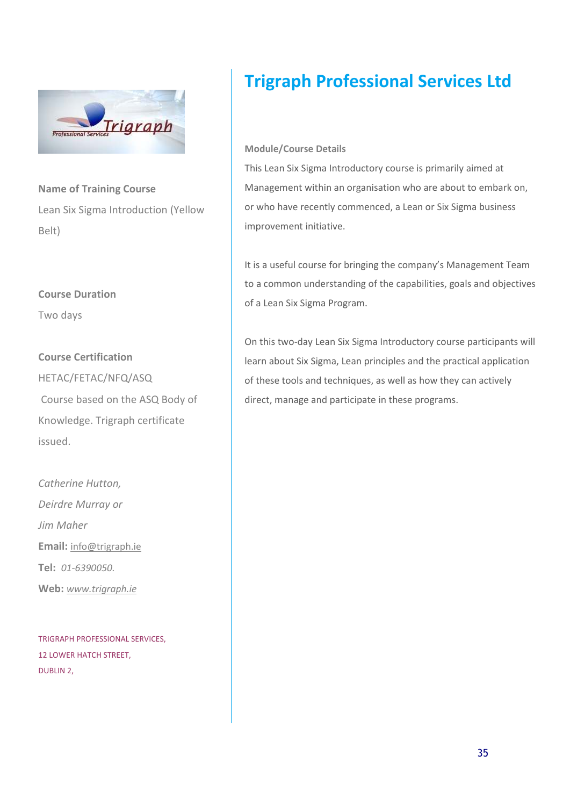

**Name of Training Course**  Lean Six Sigma Introduction (Yellow Belt)

#### **Course Duration**

Two days

#### **Course Certification**

HETAC/FETAC/NFQ/ASQ Course based on the ASQ Body of Knowledge. Trigraph certificate issued.

*Catherine Hutton, Deirdre Murray or Jim Maher*  **Email:** info@trigraph.ie **Tel:** *01-6390050.*  **Web:** *www.trigraph.ie*

TRIGRAPH PROFESSIONAL SERVICES, 12 LOWER HATCH STREET, DUBLIN 2,

## **Trigraph Professional Services Ltd**

#### **Module/Course Details**

This Lean Six Sigma Introductory course is primarily aimed at Management within an organisation who are about to embark on, or who have recently commenced, a Lean or Six Sigma business improvement initiative.

It is a useful course for bringing the company's Management Team to a common understanding of the capabilities, goals and objectives of a Lean Six Sigma Program.

On this two-day Lean Six Sigma Introductory course participants will learn about Six Sigma, Lean principles and the practical application of these tools and techniques, as well as how they can actively direct, manage and participate in these programs.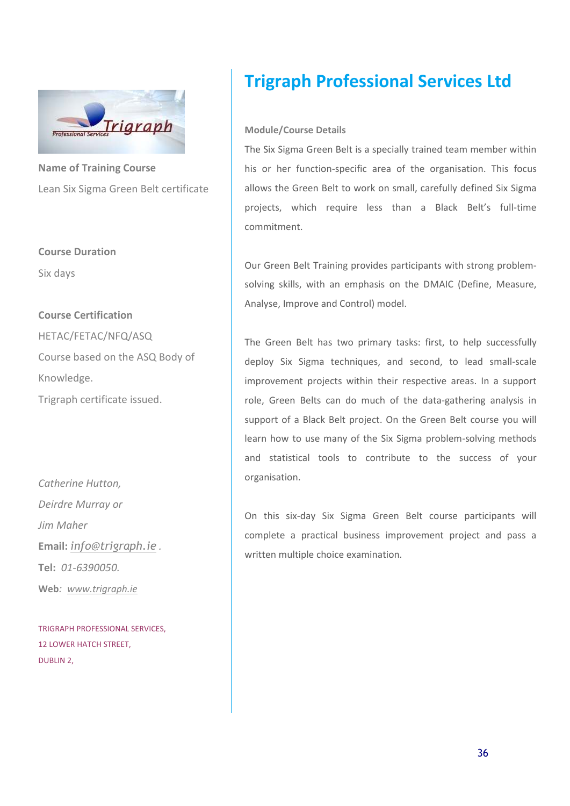

**Name of Training Course**  Lean Six Sigma Green Belt certificate

**Course Duration**  Six days

**Course Certification**  HETAC/FETAC/NFQ/ASQ Course based on the ASQ Body of Knowledge.

Trigraph certificate issued.

*Catherine Hutton, Deirdre Murray or Jim Maher*  **Email:** *info@trigraph.ie .*  **Tel:** *01-6390050.*  **Web***: www.trigraph.ie* 

TRIGRAPH PROFESSIONAL SERVICES, 12 LOWER HATCH STREET, DUBLIN 2,

## **Trigraph Professional Services Ltd**

#### **Module/Course Details**

The Six Sigma Green Belt is a specially trained team member within his or her function-specific area of the organisation. This focus allows the Green Belt to work on small, carefully defined Six Sigma projects, which require less than a Black Belt's full-time commitment.

Our Green Belt Training provides participants with strong problemsolving skills, with an emphasis on the DMAIC (Define, Measure, Analyse, Improve and Control) model.

The Green Belt has two primary tasks: first, to help successfully deploy Six Sigma techniques, and second, to lead small-scale improvement projects within their respective areas. In a support role, Green Belts can do much of the data-gathering analysis in support of a Black Belt project. On the Green Belt course you will learn how to use many of the Six Sigma problem-solving methods and statistical tools to contribute to the success of your organisation.

On this six-day Six Sigma Green Belt course participants will complete a practical business improvement project and pass a written multiple choice examination*.*